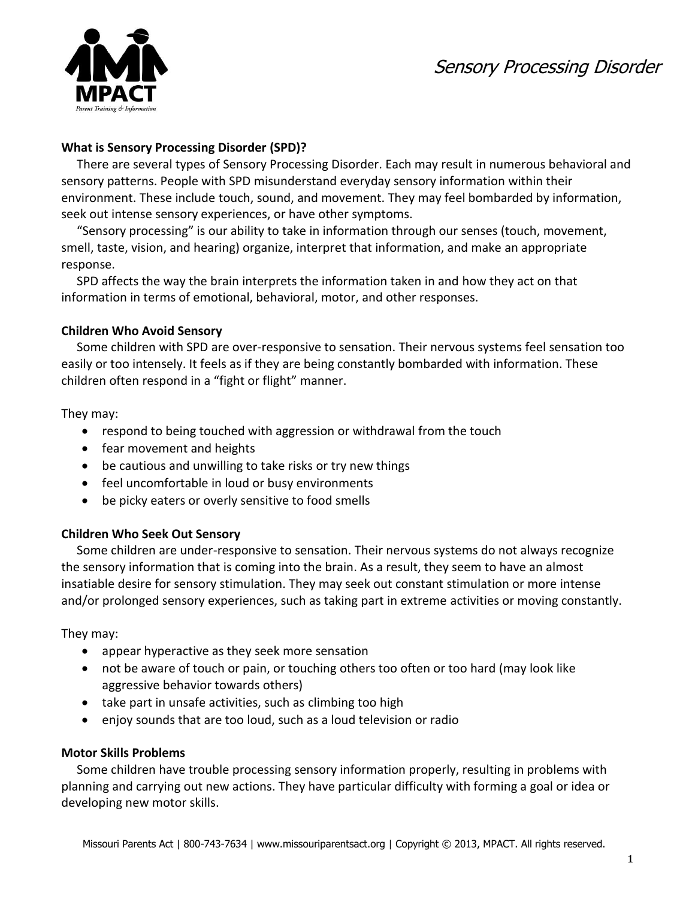Sensory Processing Disorder



# **What is Sensory Processing Disorder (SPD)?**

 There are several types of Sensory Processing Disorder. Each may result in numerous behavioral and sensory patterns. People with SPD misunderstand everyday sensory information within their environment. These include touch, sound, and movement. They may feel bombarded by information, seek out intense sensory experiences, or have other symptoms.

 "Sensory processing" is our ability to take in information through our senses (touch, movement, smell, taste, vision, and hearing) organize, interpret that information, and make an appropriate response.

 SPD affects the way the brain interprets the information taken in and how they act on that information in terms of emotional, behavioral, motor, and other responses.

## **Children Who Avoid Sensory**

Some children with SPD are over-responsive to sensation. Their nervous systems feel sensation too easily or too intensely. It feels as if they are being constantly bombarded with information. These children often respond in a "fight or flight" manner.

They may:

- respond to being touched with aggression or withdrawal from the touch
- fear movement and heights
- be cautious and unwilling to take risks or try new things
- feel uncomfortable in loud or busy environments
- be picky eaters or overly sensitive to food smells

# **Children Who Seek Out Sensory**

Some children are under-responsive to sensation. Their nervous systems do not always recognize the sensory information that is coming into the brain. As a result, they seem to have an almost insatiable desire for sensory stimulation. They may seek out constant stimulation or more intense and/or prolonged sensory experiences, such as taking part in extreme activities or moving constantly.

They may:

- appear hyperactive as they seek more sensation
- not be aware of touch or pain, or touching others too often or too hard (may look like aggressive behavior towards others)
- take part in unsafe activities, such as climbing too high
- enjoy sounds that are too loud, such as a loud television or radio

## **Motor Skills Problems**

Some children have trouble processing sensory information properly, resulting in problems with planning and carrying out new actions. They have particular difficulty with forming a goal or idea or developing new motor skills.